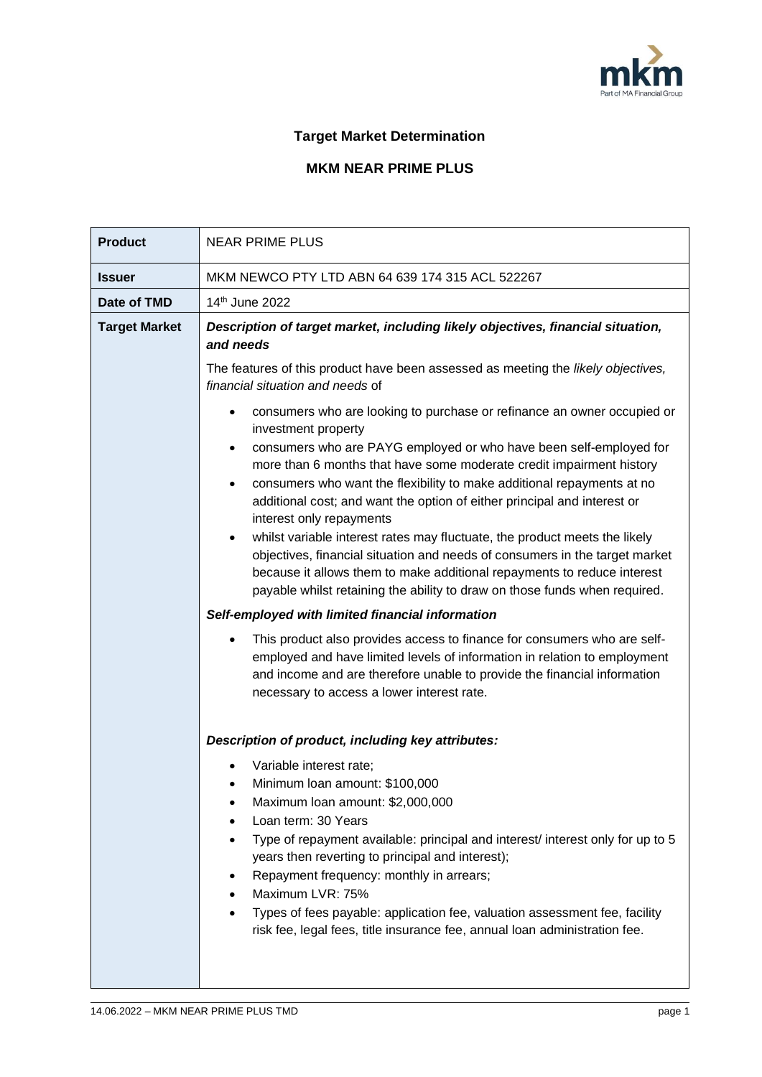

## **Target Market Determination**

## **MKM NEAR PRIME PLUS**

| <b>Product</b>       | <b>NEAR PRIME PLUS</b>                                                                                                                                                                                                                                                                                                                                                                                                                                                                                                                                                                                                                                                                                        |  |  |  |
|----------------------|---------------------------------------------------------------------------------------------------------------------------------------------------------------------------------------------------------------------------------------------------------------------------------------------------------------------------------------------------------------------------------------------------------------------------------------------------------------------------------------------------------------------------------------------------------------------------------------------------------------------------------------------------------------------------------------------------------------|--|--|--|
| <b>Issuer</b>        | MKM NEWCO PTY LTD ABN 64 639 174 315 ACL 522267                                                                                                                                                                                                                                                                                                                                                                                                                                                                                                                                                                                                                                                               |  |  |  |
| Date of TMD          | 14 <sup>th</sup> June 2022                                                                                                                                                                                                                                                                                                                                                                                                                                                                                                                                                                                                                                                                                    |  |  |  |
| <b>Target Market</b> | Description of target market, including likely objectives, financial situation,<br>and needs                                                                                                                                                                                                                                                                                                                                                                                                                                                                                                                                                                                                                  |  |  |  |
|                      | The features of this product have been assessed as meeting the likely objectives,<br>financial situation and needs of                                                                                                                                                                                                                                                                                                                                                                                                                                                                                                                                                                                         |  |  |  |
|                      | consumers who are looking to purchase or refinance an owner occupied or<br>$\bullet$<br>investment property<br>consumers who are PAYG employed or who have been self-employed for<br>$\bullet$<br>more than 6 months that have some moderate credit impairment history<br>consumers who want the flexibility to make additional repayments at no<br>$\bullet$<br>additional cost; and want the option of either principal and interest or<br>interest only repayments<br>whilst variable interest rates may fluctuate, the product meets the likely<br>objectives, financial situation and needs of consumers in the target market<br>because it allows them to make additional repayments to reduce interest |  |  |  |
|                      | payable whilst retaining the ability to draw on those funds when required.<br>Self-employed with limited financial information                                                                                                                                                                                                                                                                                                                                                                                                                                                                                                                                                                                |  |  |  |
|                      | This product also provides access to finance for consumers who are self-<br>employed and have limited levels of information in relation to employment<br>and income and are therefore unable to provide the financial information<br>necessary to access a lower interest rate.                                                                                                                                                                                                                                                                                                                                                                                                                               |  |  |  |
|                      | Description of product, including key attributes:                                                                                                                                                                                                                                                                                                                                                                                                                                                                                                                                                                                                                                                             |  |  |  |
|                      | Variable interest rate;<br>Minimum Ioan amount: \$100,000<br>Maximum Ioan amount: \$2,000,000<br>Loan term: 30 Years<br>Type of repayment available: principal and interest/ interest only for up to 5<br>years then reverting to principal and interest);<br>Repayment frequency: monthly in arrears;<br>Maximum LVR: 75%<br>Types of fees payable: application fee, valuation assessment fee, facility<br>risk fee, legal fees, title insurance fee, annual loan administration fee.                                                                                                                                                                                                                        |  |  |  |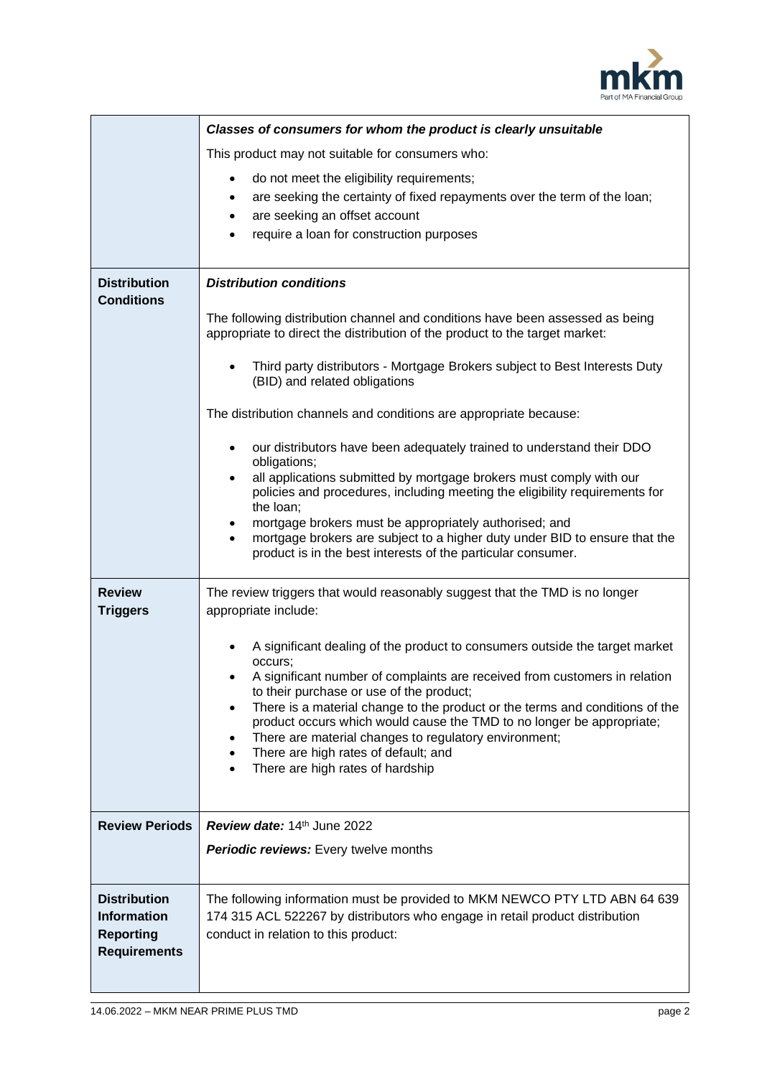

|                                                                                      | Classes of consumers for whom the product is clearly unsuitable                                                                                                                                                                                                                                                                        |  |  |  |
|--------------------------------------------------------------------------------------|----------------------------------------------------------------------------------------------------------------------------------------------------------------------------------------------------------------------------------------------------------------------------------------------------------------------------------------|--|--|--|
|                                                                                      | This product may not suitable for consumers who:                                                                                                                                                                                                                                                                                       |  |  |  |
|                                                                                      | do not meet the eligibility requirements;<br>$\bullet$<br>are seeking the certainty of fixed repayments over the term of the loan;<br>$\bullet$<br>are seeking an offset account<br>$\bullet$<br>require a loan for construction purposes                                                                                              |  |  |  |
| <b>Distribution</b><br><b>Conditions</b>                                             | <b>Distribution conditions</b>                                                                                                                                                                                                                                                                                                         |  |  |  |
|                                                                                      | The following distribution channel and conditions have been assessed as being<br>appropriate to direct the distribution of the product to the target market:                                                                                                                                                                           |  |  |  |
|                                                                                      | Third party distributors - Mortgage Brokers subject to Best Interests Duty<br>(BID) and related obligations                                                                                                                                                                                                                            |  |  |  |
|                                                                                      | The distribution channels and conditions are appropriate because:                                                                                                                                                                                                                                                                      |  |  |  |
|                                                                                      | our distributors have been adequately trained to understand their DDO<br>$\bullet$<br>obligations;<br>all applications submitted by mortgage brokers must comply with our                                                                                                                                                              |  |  |  |
|                                                                                      | policies and procedures, including meeting the eligibility requirements for<br>the loan;                                                                                                                                                                                                                                               |  |  |  |
|                                                                                      | mortgage brokers must be appropriately authorised; and<br>٠<br>mortgage brokers are subject to a higher duty under BID to ensure that the<br>$\bullet$<br>product is in the best interests of the particular consumer.                                                                                                                 |  |  |  |
| <b>Review</b><br><b>Triggers</b>                                                     | The review triggers that would reasonably suggest that the TMD is no longer<br>appropriate include:                                                                                                                                                                                                                                    |  |  |  |
|                                                                                      | A significant dealing of the product to consumers outside the target market<br>occurs;<br>A significant number of complaints are received from customers in relation                                                                                                                                                                   |  |  |  |
|                                                                                      | to their purchase or use of the product;<br>There is a material change to the product or the terms and conditions of the<br>product occurs which would cause the TMD to no longer be appropriate;<br>There are material changes to regulatory environment;<br>There are high rates of default; and<br>There are high rates of hardship |  |  |  |
| <b>Review Periods</b>                                                                | <b>Review date: 14th June 2022</b>                                                                                                                                                                                                                                                                                                     |  |  |  |
|                                                                                      | Periodic reviews: Every twelve months                                                                                                                                                                                                                                                                                                  |  |  |  |
| <b>Distribution</b><br><b>Information</b><br><b>Reporting</b><br><b>Requirements</b> | The following information must be provided to MKM NEWCO PTY LTD ABN 64 639<br>174 315 ACL 522267 by distributors who engage in retail product distribution<br>conduct in relation to this product:                                                                                                                                     |  |  |  |